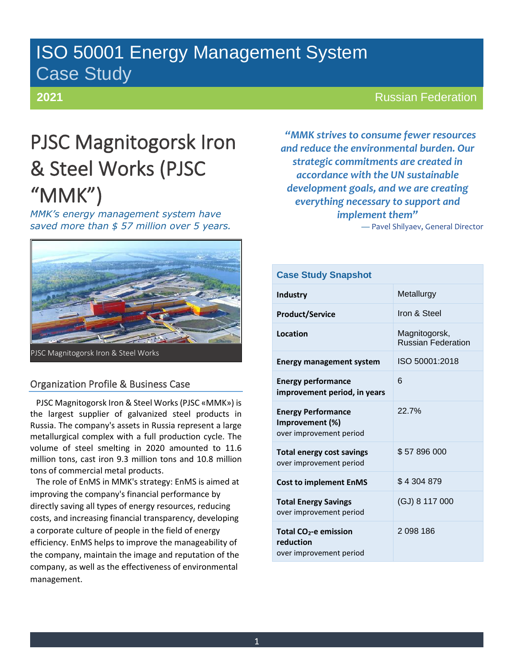# ISO 50001 Energy Management System Case Study

# **2021**

# Russian Federation

# PJSC Magnitogorsk Iron & Steel Works (PJSC "MMK")

*MMK's energy management system have saved more than \$ 57 million over 5 years.*



## Organization Profile & Business Case

PJSC Magnitogorsk Iron & Steel Works (PJSC «MMK») is the largest supplier of galvanized steel products in Russia. The company's assets in Russia represent a large metallurgical complex with a full production cycle. The volume of steel smelting in 2020 amounted to 11.6 million tons, cast iron 9.3 million tons and 10.8 million tons of commercial metal products.

The role of EnMS in MMK's strategy: EnMS is aimed at improving the company's financial performance by directly saving all types of energy resources, reducing costs, and increasing financial transparency, developing a corporate culture of people in the field of energy efficiency. EnMS helps to improve the manageability of the company, maintain the image and reputation of the company, as well as the effectiveness of environmental management.

*"MMK strives to consume fewer resources and reduce the environmental burden. Our strategic commitments are created in accordance with the UN sustainable development goals, and we are creating everything necessary to support and implement them"*

— Pavel Shilyaev, General Director

| <b>Case Study Snapshot</b>                                                |                                            |  |
|---------------------------------------------------------------------------|--------------------------------------------|--|
| Industry                                                                  | Metallurgy                                 |  |
| <b>Product/Service</b>                                                    | Iron & Steel                               |  |
| Location                                                                  | Magnitogorsk,<br><b>Russian Federation</b> |  |
| <b>Energy management system</b>                                           | ISO 50001:2018                             |  |
| <b>Energy performance</b><br>improvement period, in years                 | 6                                          |  |
| <b>Energy Performance</b><br>Improvement (%)<br>over improvement period   | 22.7%                                      |  |
| <b>Total energy cost savings</b><br>over improvement period               | \$57896000                                 |  |
| <b>Cost to implement EnMS</b>                                             | \$4304879                                  |  |
| <b>Total Energy Savings</b><br>over improvement period                    | (GJ) 8 117 000                             |  |
| Total CO <sub>2</sub> -e emission<br>reduction<br>over improvement period | 2 098 186                                  |  |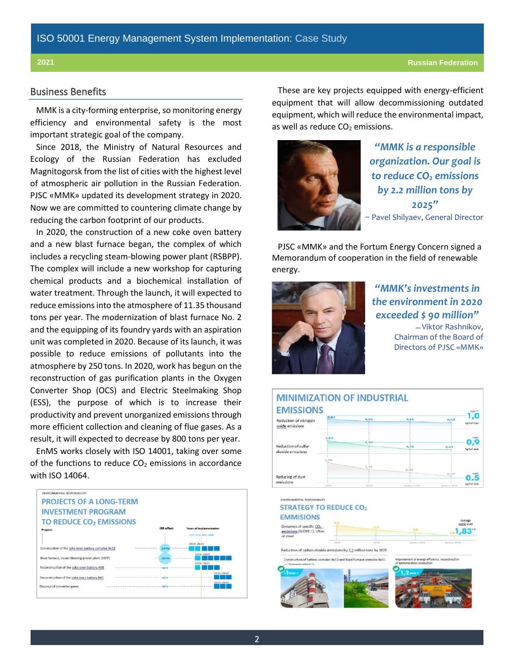### Business Benefits

MMK is a city-forming enterprise, so monitoring energy efficiency and environmental safety is the most important strategic goal of the company.

Since 2018, the Ministry of Natural Resources and Ecology of the Russian Federation has excluded Magnitogorsk from the list of cities with the highest level of atmospheric air pollution in the Russian Federation. PJSC «MMK» updated its development strategy in 2020. Now we are committed to countering climate change by reducing the carbon footprint of our products.

In 2020, the construction of a new coke oven battery and a new blast furnace began, the complex of which includes a recycling steam-blowing power plant (RSBPP). The complex will include a new workshop for capturing chemical products and a biochemical installation of water treatment. Through the launch, it will expected to reduce emissions into the atmosphere of 11.35 thousand tons per year. The modernization of blast furnace No. 2 and the equipping of its foundry yards with an aspiration unit was completed in 2020. Because of its launch, it was possible to reduce emissions of pollutants into the atmosphere by 250 tons. In 2020, work has begun on the reconstruction of gas purification plants in the Oxygen Converter Shop (OCS) and Electric Steelmaking Shop (ESS), the purpose of which is to increase their productivity and prevent unorganized emissions through more efficient collection and cleaning of flue gases. As a result, it will expected to decrease by 800 tons per year.

EnMS works closely with ISO 14001, taking over some of the functions to reduce  $CO<sub>2</sub>$  emissions in accordance with ISO 14064.



These are key projects equipped with energy-efficient equipment that will allow decommissioning outdated equipment, which will reduce the environmental impact, as well as reduce  $CO<sub>2</sub>$  emissions.



*"MMK is a responsible organization. Our goal is to reduce CO<sup>2</sup> emissions by 2.2 million tons by 2025"* ̶ Pavel Shilyaev, General Director

PJSC «MMK» and the Fortum Energy Concern signed a Memorandum of cooperation in the field of renewable energy.



*"MMK's investments in the environment in 2020 exceeded \$ 90 million"* ̶ Viktor Rashnikov, Chairman of the Board of Directors of PJSC «MMK»



2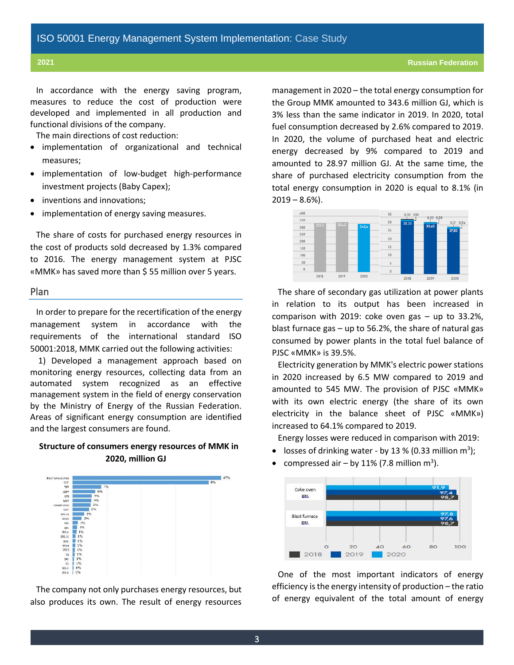In accordance with the energy saving program, measures to reduce the cost of production were developed and implemented in all production and functional divisions of the company.

The main directions of cost reduction:

- implementation of organizational and technical measures;
- implementation of low-budget high-performance investment projects (Baby Capex);
- inventions and innovations;
- implementation of energy saving measures.

The share of costs for purchased energy resources in the cost of products sold decreased by 1.3% compared to 2016. The energy management system at PJSC «MMK» has saved more than \$ 55 million over 5 years.

#### Plan

In order to prepare for the recertification of the energy management system in accordance with the requirements of the international standard ISO 50001:2018, MMK carried out the following activities:

1) Developed a management approach based on monitoring energy resources, collecting data from an automated system recognized as an effective management system in the field of energy conservation by the Ministry of Energy of the Russian Federation. Areas of significant energy consumption are identified and the largest consumers are found.

### **Structure of consumers energy resources of MMK in 2020, million GJ**



The company not only purchases energy resources, but also produces its own. The result of energy resources management in 2020 – the total energy consumption for the Group MMK amounted to 343.6 million GJ, which is 3% less than the same indicator in 2019. In 2020, total fuel consumption decreased by 2.6% compared to 2019. In 2020, the volume of purchased heat and electric energy decreased by 9% compared to 2019 and amounted to 28.97 million GJ. At the same time, the share of purchased electricity consumption from the total energy consumption in 2020 is equal to 8.1% (in  $2019 - 8.6%$ ).



The share of secondary gas utilization at power plants in relation to its output has been increased in comparison with 2019: coke oven gas – up to 33.2%, blast furnace gas – up to 56.2%, the share of natural gas consumed by power plants in the total fuel balance of PJSC «MMK» is 39.5%.

Electricity generation by MMK's electric power stations in 2020 increased by 6.5 MW compared to 2019 and amounted to 545 MW. The provision of PJSC «MMK» with its own electric energy (the share of its own electricity in the balance sheet of PJSC «MMK») increased to 64.1% compared to 2019.

Energy losses were reduced in comparison with 2019:

- losses of drinking water by 13 % (0.33 million  $m^3$ );
- compressed air by 11% (7.8 million  $m^3$ ).



One of the most important indicators of energy efficiency is the energy intensity of production – the ratio of energy equivalent of the total amount of energy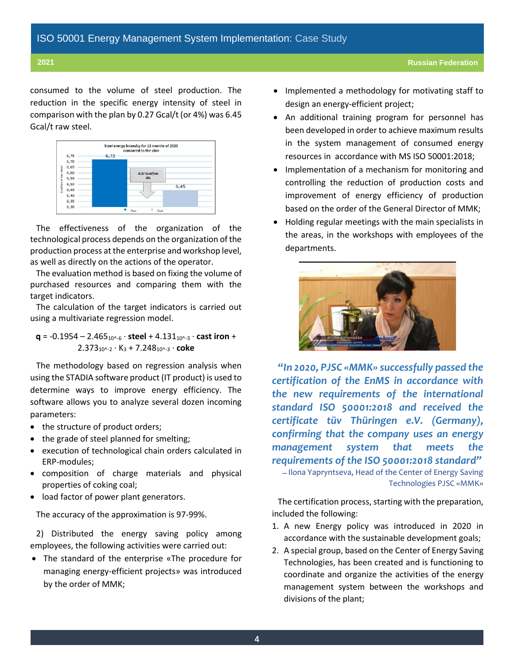consumed to the volume of steel production. The reduction in the specific energy intensity of steel in comparison with the plan by 0.27 Gcal/t (or 4%) was 6.45 Gcal/t raw steel.



The effectiveness of the organization of the technological process depends on the organization of the production process at the enterprise and workshop level, as well as directly on the actions of the operator.

The evaluation method is based on fixing the volume of purchased resources and comparing them with the target indicators.

The calculation of the target indicators is carried out using a multivariate regression model.

**q** = -0.1954 – 2.46510^-6 · **steel** + 4.13110^-3 · **cast iron** + 2.37310^-2 · K<sup>3</sup> + 7.24810^-3 · **coke**

The methodology based on regression analysis when using the STADIA software product (IT product) is used to determine ways to improve energy efficiency. The software allows you to analyze several dozen incoming parameters:

- the structure of product orders;
- the grade of steel planned for smelting;
- execution of technological chain orders calculated in ERP-modules;
- composition of charge materials and physical properties of coking coal;
- load factor of power plant generators.

The accuracy of the approximation is 97-99%.

2) Distributed the energy saving policy among employees, the following activities were carried out:

• The standard of the enterprise «The procedure for managing energy-efficient projects» was introduced by the order of MMK;

- Implemented a methodology for motivating staff to design an energy-efficient project;
- An additional training program for personnel has been developed in order to achieve maximum results in the system management of consumed energy resources in accordance with MS ISO 50001:2018;
- Implementation of a mechanism for monitoring and controlling the reduction of production costs and improvement of energy efficiency of production based on the order of the General Director of MMK;
- Holding regular meetings with the main specialists in the areas, in the workshops with employees of the departments.



*"In 2020, PJSC «MMK» successfully passed the certification of the EnMS in accordance with the new requirements of the international standard ISO 50001:2018 and received the certificate tüv Thüringen e.V. (Germany), confirming that the company uses an energy management system that meets the requirements of the ISO 50001:2018 standard"*

̶ Ilona Yapryntseva, Head of the Center of Energy Saving Technologies PJSC «MMK»

The certification process, starting with the preparation, included the following:

- 1. A new Energy policy was introduced in 2020 in accordance with the sustainable development goals;
- 2. A special group, based on the Center of Energy Saving Technologies, has been created and is functioning to coordinate and organize the activities of the energy management system between the workshops and divisions of the plant;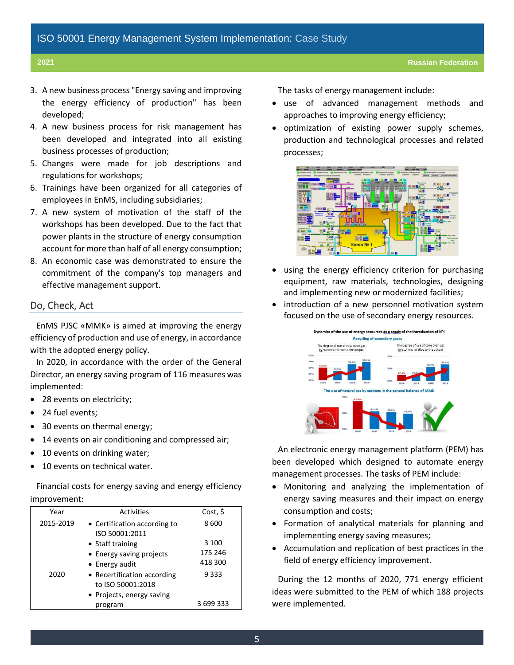- 3. A new business process "Energy saving and improving the energy efficiency of production" has been developed;
- 4. A new business process for risk management has been developed and integrated into all existing business processes of production;
- 5. Changes were made for job descriptions and regulations for workshops;
- 6. Trainings have been organized for all categories of employees in EnMS, including subsidiaries;
- 7. A new system of motivation of the staff of the workshops has been developed. Due to the fact that power plants in the structure of energy consumption account for more than half of all energy consumption;
- 8. An economic case was demonstrated to ensure the commitment of the company's top managers and effective management support.

### Do, Check, Act

EnMS PJSC «MMK» is aimed at improving the energy efficiency of production and use of energy, in accordance with the adopted energy policy.

In 2020, in accordance with the order of the General Director, an energy saving program of 116 measures was implemented:

- 28 events on electricity;
- 24 fuel events;
- 30 events on thermal energy;
- 14 events on air conditioning and compressed air;
- 10 events on drinking water;
- 10 events on technical water.

Financial costs for energy saving and energy efficiency improvement:

| Year      | Activities                                       | Cost, \$  |
|-----------|--------------------------------------------------|-----------|
| 2015-2019 | • Certification according to<br>ISO 50001:2011   | 8600      |
|           | • Staff training                                 | 3 100     |
|           | • Energy saving projects                         | 175 246   |
|           | • Energy audit                                   | 418 300   |
| 2020      | • Recertification according<br>to ISO 50001:2018 | 9333      |
|           | • Projects, energy saving                        |           |
|           | program                                          | 3 699 333 |

The tasks of energy management include:

- use of advanced management methods and approaches to improving energy efficiency;
- optimization of existing power supply schemes, production and technological processes and related processes;



- using the energy efficiency criterion for purchasing equipment, raw materials, technologies, designing and implementing new or modernized facilities;
- introduction of a new personnel motivation system focused on the use of secondary energy resources.



An electronic energy management platform (PEM) has been developed which designed to automate energy management processes. The tasks of PEM include:

- Monitoring and analyzing the implementation of energy saving measures and their impact on energy consumption and costs;
- Formation of analytical materials for planning and implementing energy saving measures;
- Accumulation and replication of best practices in the field of energy efficiency improvement.

During the 12 months of 2020, 771 energy efficient ideas were submitted to the PEM of which 188 projects were implemented.